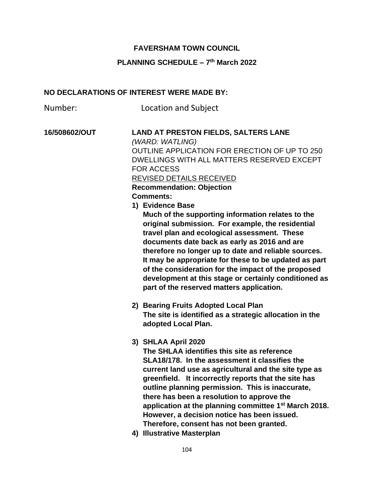## **FAVERSHAM TOWN COUNCIL**

## **PLANNING SCHEDULE – 7 th March 2022**

## **NO DECLARATIONS OF INTEREST WERE MADE BY:**

Number: Location and Subject

## **16/508602/OUT LAND AT PRESTON FIELDS, SALTERS LANE**  *(WARD: WATLING)* OUTLINE APPLICATION FOR ERECTION OF UP TO 250 DWELLINGS WITH ALL MATTERS RESERVED EXCEPT FOR ACCESS REVISED DETAILS RECEIVED **Recommendation: Objection Comments: 1) Evidence Base Much of the supporting information relates to the original submission. For example, the residential travel plan and ecological assessment. These documents date back as early as 2016 and are therefore no longer up to date and reliable sources.**

**It may be appropriate for these to be updated as part of the consideration for the impact of the proposed development at this stage or certainly conditioned as part of the reserved matters application.** 

**2) Bearing Fruits Adopted Local Plan The site is identified as a strategic allocation in the adopted Local Plan.** 

**3) SHLAA April 2020**

**The SHLAA identifies this site as reference SLA18/178. In the assessment it classifies the current land use as agricultural and the site type as greenfield. It incorrectly reports that the site has outline planning permission. This is inaccurate, there has been a resolution to approve the application at the planning committee 1st March 2018. However, a decision notice has been issued. Therefore, consent has not been granted.** 

**4) Illustrative Masterplan**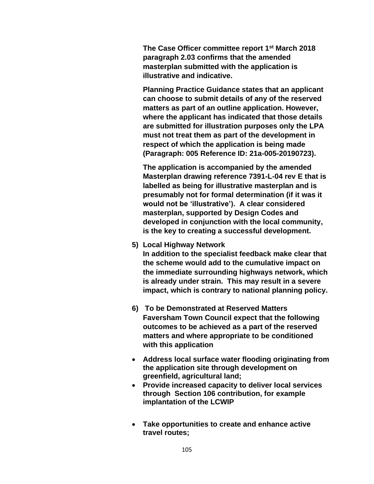**The Case Officer committee report 1st March 2018 paragraph 2.03 confirms that the amended masterplan submitted with the application is illustrative and indicative.** 

**Planning Practice Guidance states that an applicant can choose to submit details of any of the reserved matters as part of an outline application. However, where the applicant has indicated that those details are submitted for illustration purposes only the LPA must not treat them as part of the development in respect of which the application is being made (Paragraph: 005 Reference ID: 21a-005-20190723).** 

**The application is accompanied by the amended Masterplan drawing reference 7391-L-04 rev E that is labelled as being for illustrative masterplan and is presumably not for formal determination (if it was it would not be 'illustrative'). A clear considered masterplan, supported by Design Codes and developed in conjunction with the local community, is the key to creating a successful development.** 

**5) Local Highway Network**

**In addition to the specialist feedback make clear that the scheme would add to the cumulative impact on the immediate surrounding highways network, which is already under strain. This may result in a severe impact, which is contrary to national planning policy.** 

- **6) To be Demonstrated at Reserved Matters Faversham Town Council expect that the following outcomes to be achieved as a part of the reserved matters and where appropriate to be conditioned with this application**
- **Address local surface water flooding originating from the application site through development on greenfield, agricultural land;**
- **Provide increased capacity to deliver local services through Section 106 contribution, for example implantation of the LCWIP**
- **Take opportunities to create and enhance active travel routes;**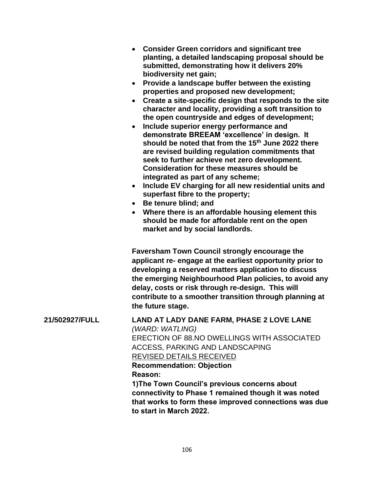|                       | • Consider Green corridors and significant tree<br>planting, a detailed landscaping proposal should be<br>submitted, demonstrating how it delivers 20%<br>biodiversity net gain;<br>Provide a landscape buffer between the existing<br>$\bullet$<br>properties and proposed new development;<br>Create a site-specific design that responds to the site<br>character and locality, providing a soft transition to<br>the open countryside and edges of development;<br>Include superior energy performance and<br>demonstrate BREEAM 'excellence' in design. It<br>should be noted that from the 15 <sup>th</sup> June 2022 there<br>are revised building regulation commitments that<br>seek to further achieve net zero development.<br><b>Consideration for these measures should be</b><br>integrated as part of any scheme;<br>Include EV charging for all new residential units and<br>$\bullet$<br>superfast fibre to the property;<br>• Be tenure blind; and<br>• Where there is an affordable housing element this<br>should be made for affordable rent on the open<br>market and by social landlords. |
|-----------------------|------------------------------------------------------------------------------------------------------------------------------------------------------------------------------------------------------------------------------------------------------------------------------------------------------------------------------------------------------------------------------------------------------------------------------------------------------------------------------------------------------------------------------------------------------------------------------------------------------------------------------------------------------------------------------------------------------------------------------------------------------------------------------------------------------------------------------------------------------------------------------------------------------------------------------------------------------------------------------------------------------------------------------------------------------------------------------------------------------------------|
|                       | <b>Faversham Town Council strongly encourage the</b><br>applicant re- engage at the earliest opportunity prior to<br>developing a reserved matters application to discuss<br>the emerging Neighbourhood Plan policies, to avoid any<br>delay, costs or risk through re-design. This will<br>contribute to a smoother transition through planning at<br>the future stage.                                                                                                                                                                                                                                                                                                                                                                                                                                                                                                                                                                                                                                                                                                                                         |
| <b>21/502927/FULL</b> | LAND AT LADY DANE FARM, PHASE 2 LOVE LANE<br>(WARD: WATLING)<br>ERECTION OF 88.NO DWELLINGS WITH ASSOCIATED<br><b>ACCESS, PARKING AND LANDSCAPING</b><br>REVISED DETAILS RECEIVED<br><b>Recommendation: Objection</b><br>Reason:<br>1) The Town Council's previous concerns about<br>connectivity to Phase 1 remained though it was noted<br>that works to form these improved connections was due<br>to start in March 2022.                                                                                                                                                                                                                                                                                                                                                                                                                                                                                                                                                                                                                                                                                    |